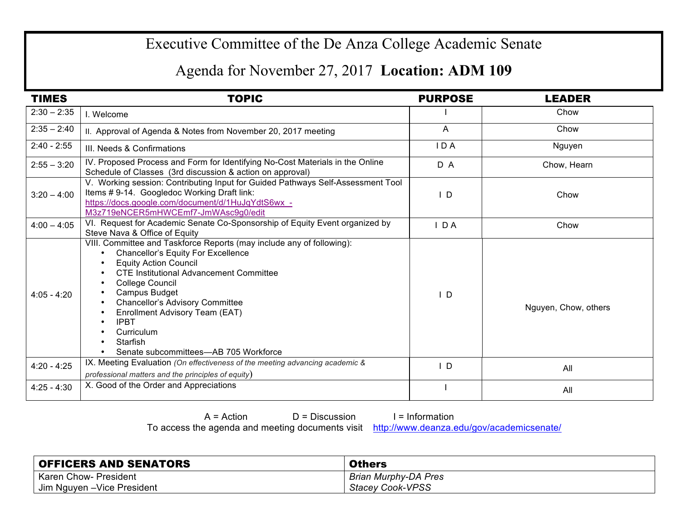## Executive Committee of the De Anza College Academic Senate

## Agenda for November 27, 2017 **Location: ADM 109**

| <b>TIMES</b>  | <b>TOPIC</b>                                                                                                                                                                                                                                                                                                                                                                                                | <b>PURPOSE</b> | <b>LEADER</b>        |
|---------------|-------------------------------------------------------------------------------------------------------------------------------------------------------------------------------------------------------------------------------------------------------------------------------------------------------------------------------------------------------------------------------------------------------------|----------------|----------------------|
| $2:30 - 2:35$ | I. Welcome                                                                                                                                                                                                                                                                                                                                                                                                  |                | Chow                 |
| $2:35 - 2:40$ | II. Approval of Agenda & Notes from November 20, 2017 meeting                                                                                                                                                                                                                                                                                                                                               | A              | Chow                 |
| $2:40 - 2:55$ | III. Needs & Confirmations                                                                                                                                                                                                                                                                                                                                                                                  | IDA            | Nguyen               |
| $2:55 - 3:20$ | IV. Proposed Process and Form for Identifying No-Cost Materials in the Online<br>Schedule of Classes (3rd discussion & action on approval)                                                                                                                                                                                                                                                                  | D A            | Chow, Hearn          |
| $3:20 - 4:00$ | V. Working session: Contributing Input for Guided Pathways Self-Assessment Tool<br>Items #9-14. Googledoc Working Draft link:<br>https://docs.google.com/document/d/1HuJqYdtS6wx -<br>M3z719eNCER5mHWCEmf7-JmWAsc9g0/edit                                                                                                                                                                                   | $\mathsf{I}$ D | Chow                 |
| $4:00 - 4:05$ | VI. Request for Academic Senate Co-Sponsorship of Equity Event organized by<br>Steve Nava & Office of Equity                                                                                                                                                                                                                                                                                                | D A            | Chow                 |
| $4:05 - 4:20$ | VIII. Committee and Taskforce Reports (may include any of following):<br>Chancellor's Equity For Excellence<br><b>Equity Action Council</b><br><b>CTE Institutional Advancement Committee</b><br>College Council<br><b>Campus Budget</b><br><b>Chancellor's Advisory Committee</b><br>Enrollment Advisory Team (EAT)<br><b>IPBT</b><br>٠<br>Curriculum<br>Starfish<br>Senate subcommittees—AB 705 Workforce | $\mathsf{I}$ D | Nguyen, Chow, others |
| $4:20 - 4:25$ | IX. Meeting Evaluation (On effectiveness of the meeting advancing academic &<br>professional matters and the principles of equity)                                                                                                                                                                                                                                                                          | $\mathsf{L}$   | All                  |
| $4:25 - 4:30$ | X. Good of the Order and Appreciations                                                                                                                                                                                                                                                                                                                                                                      |                | All                  |

 $A = Action$  D = Discussion I = Information

To access the agenda and meeting documents visit http://www.deanza.edu/gov/academicsenate/

| <b>OFFICERS AND SENATORS</b> | <b>Others</b>               |
|------------------------------|-----------------------------|
| Karen Chow- President        | <b>Brian Murphy-DA Pres</b> |
| Jim Nguyen - Vice President  | <b>Stacey Cook-VPSS</b>     |